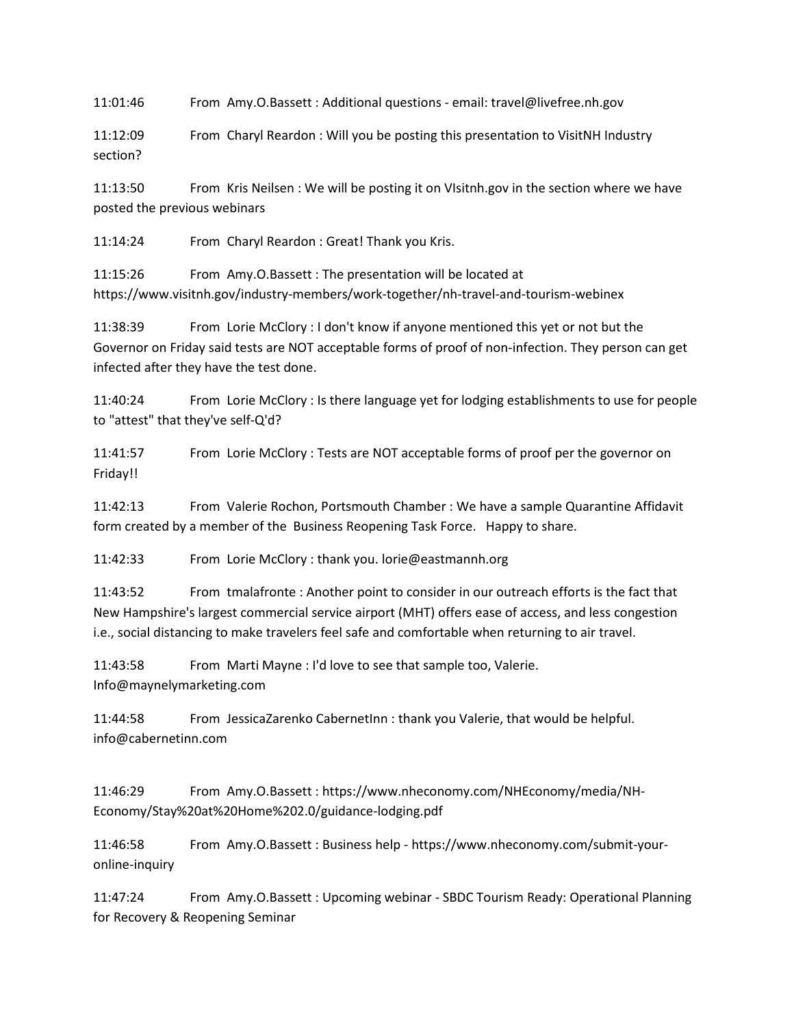11:01:46 From Amy.O.Bassett : Additional questions - email: travel@livefree.nh.gov

11:12:09 From Charyl Reardon : Will you be posting this presentation to VisitNH Industry section?

11:13:50 From Kris Neilsen : We will be posting it on VIsitnh.gov in the section where we have posted the previous webinars

11:14:24 From Charyl Reardon : Great! Thank you Kris.

11:15:26 From Amy.O.Bassett : The presentation will be located at https://www.visitnh.gov/industry-members/work-together/nh-travel-and-tourism-webinex

11:38:39 From Lorie McClory : I don't know if anyone mentioned this yet or not but the Governor on Friday said tests are NOT acceptable forms of proof of non-infection. They person can get infected after they have the test done.

11:40:24 From Lorie McClory : Is there language yet for lodging establishments to use for people to "attest" that they've self-Q'd?

11:41:57 From Lorie McClory : Tests are NOT acceptable forms of proof per the governor on Friday!!

11:42:13 From Valerie Rochon, Portsmouth Chamber : We have a sample Quarantine Affidavit form created by a member of the Business Reopening Task Force. Happy to share.

11:42:33 From Lorie McClory : thank you. lorie@eastmannh.org

11:43:52 From tmalafronte : Another point to consider in our outreach efforts is the fact that New Hampshire's largest commercial service airport (MHT) offers ease of access, and less congestion i.e., social distancing to make travelers feel safe and comfortable when returning to air travel.

11:43:58 From Marti Mayne : I'd love to see that sample too, Valerie. Info@maynelymarketing.com

11:44:58 From JessicaZarenko CabernetInn : thank you Valerie, that would be helpful. info@cabernetinn.com

11:46:29 From Amy.O.Bassett : https://www.nheconomy.com/NHEconomy/media/NH-Economy/Stay%20at%20Home%202.0/guidance-lodging.pdf

11:46:58 From Amy.O.Bassett : Business help - https://www.nheconomy.com/submit-youronline-inquiry

11:47:24 From Amy.O.Bassett : Upcoming webinar - SBDC Tourism Ready: Operational Planning for Recovery & Reopening Seminar